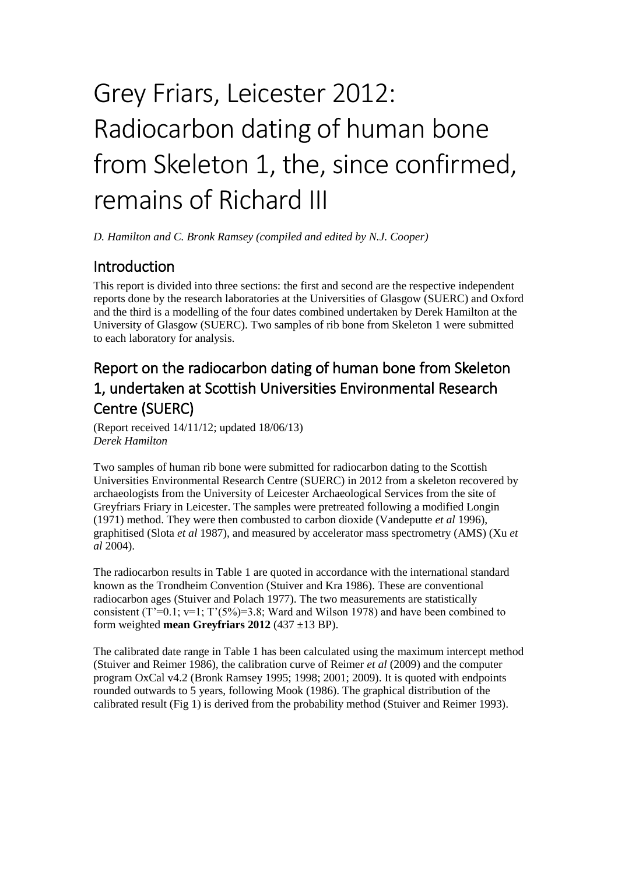# Radiocarbon dating of human bone from Skeleton 1, the, since confirmed, remains of Richard III Grey Friars, Leicester 2012:

*D. Hamilton and C. Bronk Ramsey (compiled and edited by N.J. Cooper)* 

# **Introduction**

This report is divided into three sections: the first and second are the respective independent reports done by the research laboratories at the Universities of Glasgow (SUERC) and Oxford and the third is a modelling of the four dates combined undertaken by Derek Hamilton at the University of Glasgow (SUERC). Two samples of rib bone from Skeleton 1 were submitted to each laboratory for analysis.

# Report on the radiocarbon dating of human bone from Skeleton 1, undertaken at Scottish Universities Environmental Research Centre (SUERC)

(Report received 14/11/12; updated 18/06/13) *Derek Hamilton* 

Two samples of human rib bone were submitted for radiocarbon dating to the Scottish Universities Environmental Research Centre (SUERC) in 2012 from a skeleton recovered by archaeologists from the University of Leicester Archaeological Services from the site of Greyfriars Friary in Leicester. The samples were pretreated following a modified Longin (1971) method. They were then combusted to carbon dioxide (Vandeputte *et al* 1996), graphitised (Slota *et al* 1987), and measured by accelerator mass spectrometry (AMS) (Xu *et al* 2004).

The radiocarbon results in Table 1 are quoted in accordance with the international standard known as the Trondheim Convention (Stuiver and Kra 1986). These are conventional radiocarbon ages (Stuiver and Polach 1977). The two measurements are statistically consistent  $(T^2=0.1; v=1; T^2(5\%)=3.8; Ward and Wilson 1978)$  and have been combined to form weighted **mean Greyfriars 2012** (437 ±13 BP).

 calibrated result (Fig 1) is derived from the probability method (Stuiver and Reimer 1993). The calibrated date range in Table 1 has been calculated using the maximum intercept method (Stuiver and Reimer 1986), the calibration curve of Reimer *et al* (2009) and the computer program OxCal v4.2 (Bronk Ramsey 1995; 1998; 2001; 2009). It is quoted with endpoints rounded outwards to 5 years, following Mook (1986). The graphical distribution of the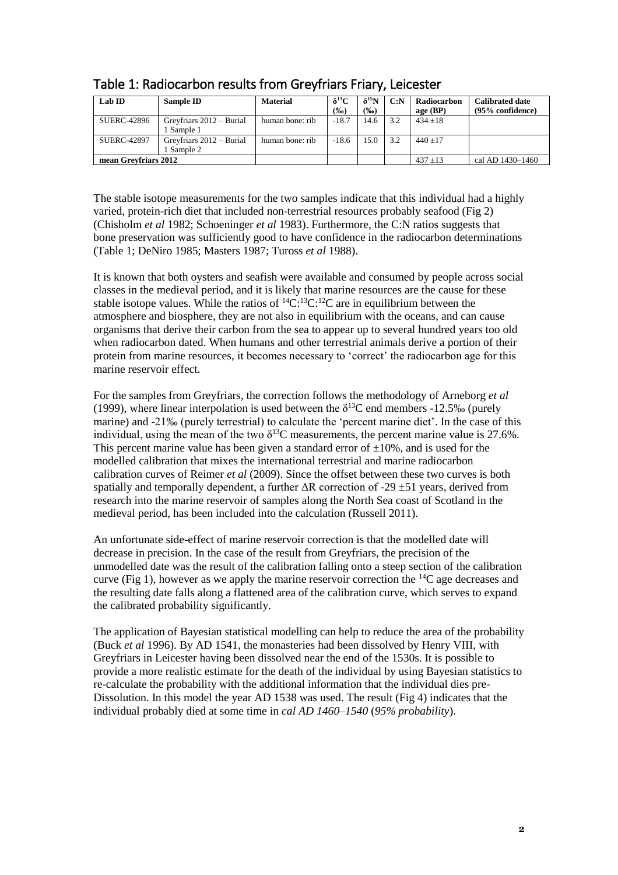| Lab ID               | Sample ID                            | <b>Material</b> | $\delta^{13}C$<br>(%o) | $\delta^{15}N$<br>$(\%0)$ | C: N | Radiocarbon<br>age $(BP)$ | <b>Calibrated date</b><br>$(95%$ confidence) |
|----------------------|--------------------------------------|-----------------|------------------------|---------------------------|------|---------------------------|----------------------------------------------|
| <b>SUERC-42896</b>   | Greyfriars 2012 – Burial<br>Sample 1 | human bone: rib | $-18.7$                | 14.6                      | 3.2  | $434 + 18$                |                                              |
| <b>SUERC-42897</b>   | Greyfriars 2012 – Burial<br>Sample 2 | human bone: rib | $-18.6$                | 15.0                      | 3.2  | $440 + 17$                |                                              |
| mean Greyfriars 2012 |                                      |                 |                        |                           |      | $437 + 13$                | cal AD 1430-1460                             |

# Table 1: Radiocarbon results from Greyfriars Friary, Leicester

 The stable isotope measurements for the two samples indicate that this individual had a highly varied, protein-rich diet that included non-terrestrial resources probably seafood (Fig 2) (Chisholm *et al* 1982; Schoeninger *et al* 1983). Furthermore, the C:N ratios suggests that bone preservation was sufficiently good to have confidence in the radiocarbon determinations (Table 1; DeNiro 1985; Masters 1987; Tuross *et al* 1988).

 when radiocarbon dated. When humans and other terrestrial animals derive a portion of their It is known that both oysters and seafish were available and consumed by people across social classes in the medieval period, and it is likely that marine resources are the cause for these stable isotope values. While the ratios of  ${}^{14}C.{}^{13}C.{}^{12}C$  are in equilibrium between the atmosphere and biosphere, they are not also in equilibrium with the oceans, and can cause organisms that derive their carbon from the sea to appear up to several hundred years too old protein from marine resources, it becomes necessary to 'correct' the radiocarbon age for this marine reservoir effect.

 marine) and -21‰ (purely terrestrial) to calculate the 'percent marine diet'. In the case of this For the samples from Greyfriars, the correction follows the methodology of Arneborg *et al*  (1999), where linear interpolation is used between the  $\delta^{13}$ C end members -12.5‰ (purely individual, using the mean of the two  $\delta^{13}$ C measurements, the percent marine value is 27.6%. This percent marine value has been given a standard error of  $\pm 10\%$ , and is used for the modelled calibration that mixes the international terrestrial and marine radiocarbon calibration curves of Reimer *et al* (2009). Since the offset between these two curves is both spatially and temporally dependent, a further  $\Delta R$  correction of -29  $\pm$ 51 years, derived from research into the marine reservoir of samples along the North Sea coast of Scotland in the medieval period, has been included into the calculation (Russell 2011).

An unfortunate side-effect of marine reservoir correction is that the modelled date will decrease in precision. In the case of the result from Greyfriars, the precision of the unmodelled date was the result of the calibration falling onto a steep section of the calibration curve (Fig 1), however as we apply the marine reservoir correction the  ${}^{14}C$  age decreases and the resulting date falls along a flattened area of the calibration curve, which serves to expand the calibrated probability significantly.

 The application of Bayesian statistical modelling can help to reduce the area of the probability provide a more realistic estimate for the death of the individual by using Bayesian statistics to Dissolution. In this model the year AD 1538 was used. The result (Fig 4) indicates that the (Buck *et al* 1996). By AD 1541, the monasteries had been dissolved by Henry VIII, with Greyfriars in Leicester having been dissolved near the end of the 1530s. It is possible to re-calculate the probability with the additional information that the individual dies preindividual probably died at some time in *cal AD 1460–1540* (*95% probability*).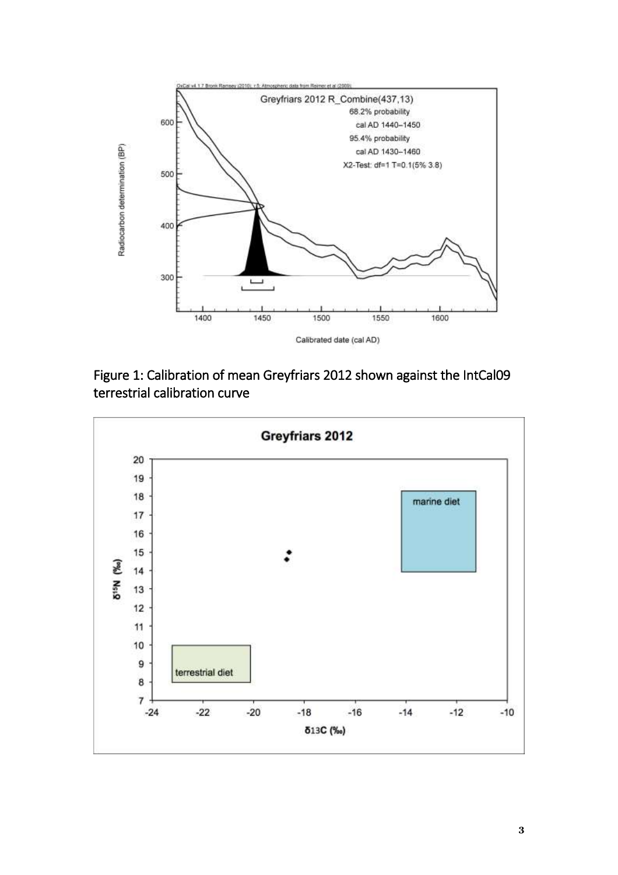



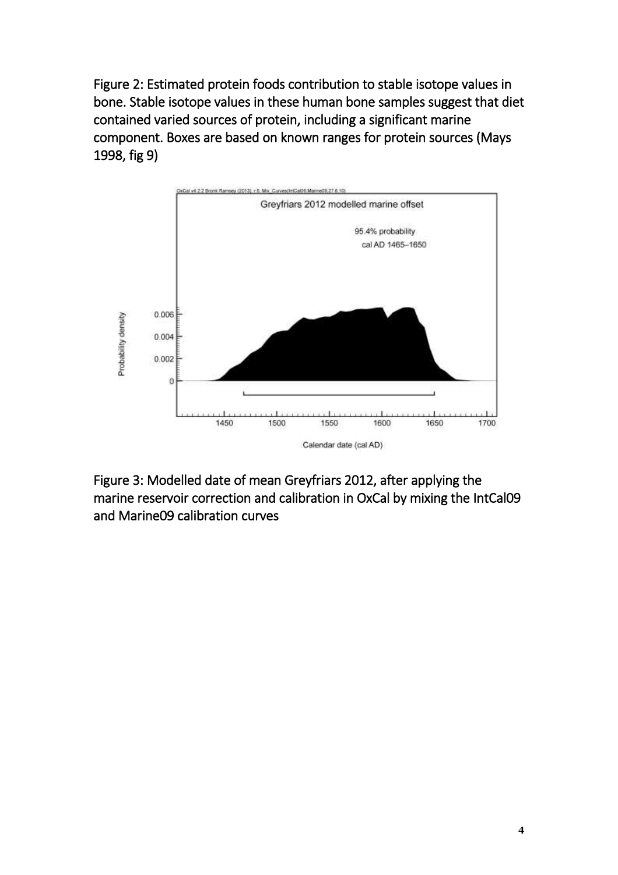Figure 2: Estimated protein foods contribution to stable isotope values in bone. Stable isotope values in these human bone samples suggest that diet contained varied sources of protein, including a significant marine component. Boxes are based on known ranges for protein sources (Mays 1998, fig 9)



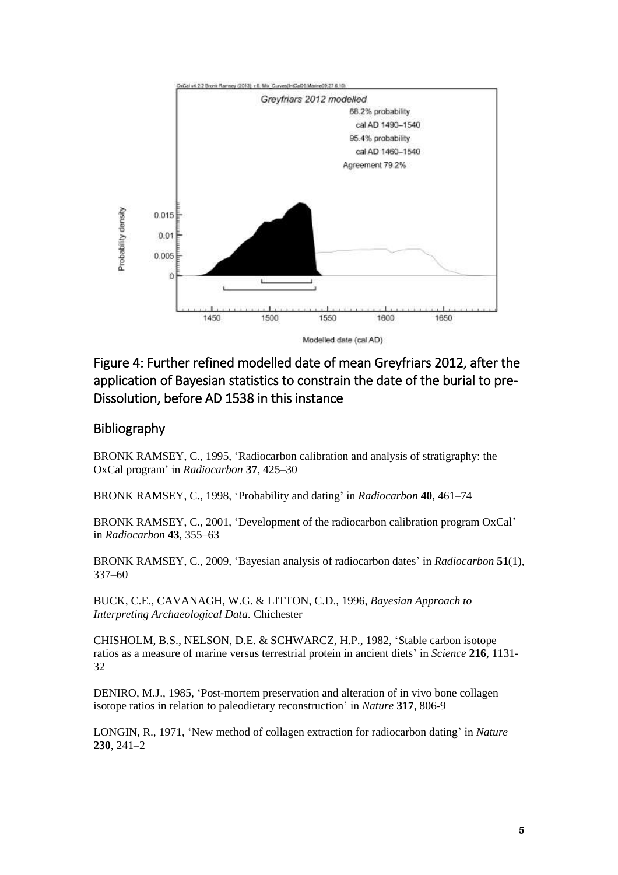

## Figure 4: Further refined modelled date of mean Greyfriars 2012, after the application of Bayesian statistics to constrain the date of the burial to pre-Dissolution, before AD 1538 in this instance

#### Bibliography

BRONK RAMSEY, C., 1995, 'Radiocarbon calibration and analysis of stratigraphy: the OxCal program' in *Radiocarbon* **37**, 425–30

BRONK RAMSEY, C., 1998, 'Probability and dating' in *Radiocarbon* **40**, 461–74

BRONK RAMSEY, C., 2001, 'Development of the radiocarbon calibration program OxCal' in *Radiocarbon* **43**, 355–63

BRONK RAMSEY, C., 2009, 'Bayesian analysis of radiocarbon dates' in *Radiocarbon* **51**(1), 337–60

BUCK, C.E., CAVANAGH, W.G. & LITTON, C.D., 1996, *Bayesian Approach to Interpreting Archaeological Data.* Chichester

CHISHOLM, B.S., NELSON, D.E. & SCHWARCZ, H.P., 1982, 'Stable carbon isotope ratios as a measure of marine versus terrestrial protein in ancient diets' in *Science* **216**, 1131- 32

DENIRO, M.J., 1985, 'Post-mortem preservation and alteration of in vivo bone collagen isotope ratios in relation to paleodietary reconstruction' in *Nature* **317**, 806-9

LONGIN, R., 1971, 'New method of collagen extraction for radiocarbon dating' in *Nature*  **230**, 241–2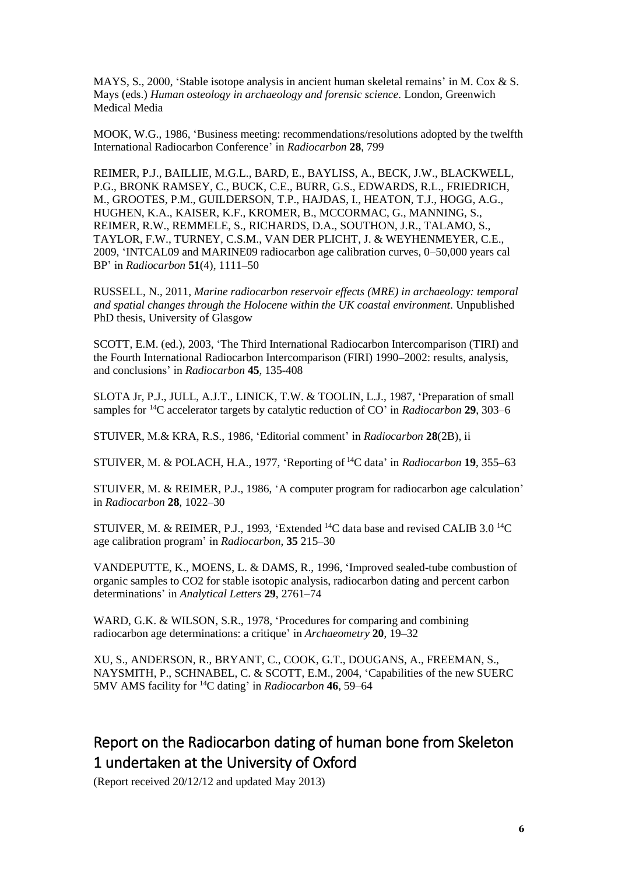MAYS, S., 2000, 'Stable isotope analysis in ancient human skeletal remains' in M. Cox & S. Mays (eds.) *Human osteology in archaeology and forensic science.* London, Greenwich Medical Media

MOOK, W.G., 1986, 'Business meeting: recommendations/resolutions adopted by the twelfth International Radiocarbon Conference' in *Radiocarbon* **28**, 799

REIMER, P.J., BAILLIE, M.G.L., BARD, E., BAYLISS, A., BECK, J.W., BLACKWELL, P.G., BRONK RAMSEY, C., BUCK, C.E., BURR, G.S., EDWARDS, R.L., FRIEDRICH, M., GROOTES, P.M., GUILDERSON, T.P., HAJDAS, I., HEATON, T.J., HOGG, A.G., HUGHEN, K.A., KAISER, K.F., KROMER, B., MCCORMAC, G., MANNING, S., REIMER, R.W., REMMELE, S., RICHARDS, D.A., SOUTHON, J.R., TALAMO, S., TAYLOR, F.W., TURNEY, C.S.M., VAN DER PLICHT, J. & WEYHENMEYER, C.E., 2009, 'INTCAL09 and MARINE09 radiocarbon age calibration curves, 0–50,000 years cal BP' in *Radiocarbon* **51**(4), 1111–50

RUSSELL, N., 2011, *Marine radiocarbon reservoir effects (MRE) in archaeology: temporal and spatial changes through the Holocene within the UK coastal environment.* Unpublished PhD thesis, University of Glasgow

SCOTT, E.M. (ed.), 2003, 'The Third International Radiocarbon Intercomparison (TIRI) and the Fourth International Radiocarbon Intercomparison (FIRI) 1990–2002: results, analysis, and conclusions' in *Radiocarbon* **45**, 135-408

SLOTA Jr, P.J., JULL, A.J.T., LINICK, T.W. & TOOLIN, L.J., 1987, 'Preparation of small samples for 14C accelerator targets by catalytic reduction of CO' in *Radiocarbon* **29**, 303–6

STUIVER, M.& KRA, R.S., 1986, 'Editorial comment' in *Radiocarbon* **28**(2B), ii

STUIVER, M. & POLACH, H.A., 1977, 'Reporting of 14C data' in *Radiocarbon* **19**, 355–63

STUIVER, M. & REIMER, P.J., 1986, 'A computer program for radiocarbon age calculation' in *Radiocarbon* **28**, 1022–30

STUIVER, M. & REIMER, P.J., 1993, 'Extended 14C data base and revised CALIB 3.0 14C age calibration program' in *Radiocarbon*, **35** 215–30

VANDEPUTTE, K., MOENS, L. & DAMS, R., 1996, 'Improved sealed-tube combustion of organic samples to CO2 for stable isotopic analysis, radiocarbon dating and percent carbon determinations' in *Analytical Letters* **29**, 2761–74

WARD, G.K. & WILSON, S.R., 1978, 'Procedures for comparing and combining radiocarbon age determinations: a critique' in *Archaeometry* **20**, 19–32

XU, S., ANDERSON, R., BRYANT, C., COOK, G.T., DOUGANS, A., FREEMAN, S., NAYSMITH, P., SCHNABEL, C. & SCOTT, E.M., 2004, 'Capabilities of the new SUERC 5MV AMS facility for 14C dating' in *Radiocarbon* **46**, 59–64

# 1 undertaken at the University of Oxford Report on the Radiocarbon dating of human bone from Skeleton

(Report received 20/12/12 and updated May 2013)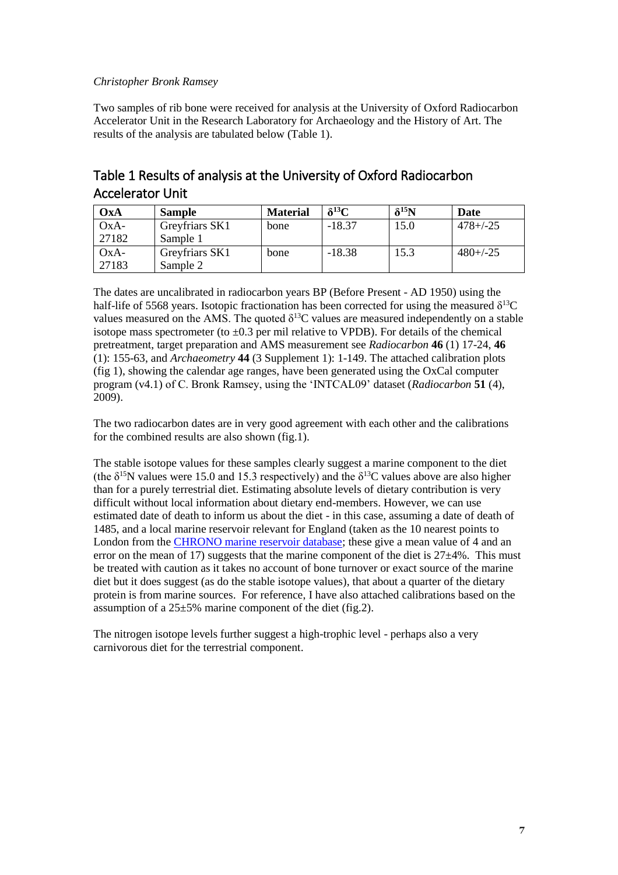#### *Christopher Bronk Ramsey*

 Accelerator Unit in the Research Laboratory for Archaeology and the History of Art. The Two samples of rib bone were received for analysis at the University of Oxford Radiocarbon results of the analysis are tabulated below (Table 1).

| $\mathbf{O} \mathbf{x} \mathbf{A}$ | <b>Sample</b>  | <b>Material</b> | $\delta^{13}C$ | $\delta^{15}N$ | <b>Date</b>   |
|------------------------------------|----------------|-----------------|----------------|----------------|---------------|
| $OxA-$                             | Greyfriars SK1 | bone            | $-18.37$       | 15.0           | $478 + (-25)$ |
| 27182                              | Sample 1       |                 |                |                |               |
| $OxA-$                             | Greyfriars SK1 | bone            | $-18.38$       | 15.3           | $480+/-25$    |
| 27183                              | Sample 2       |                 |                |                |               |

### Table 1 Results of analysis at the University of Oxford Radiocarbon Accelerator Unit

The dates are uncalibrated in radiocarbon years BP (Before Present - AD 1950) using the half-life of 5568 years. Isotopic fractionation has been corrected for using the measured  $\delta^{13}C$ values measured on the AMS. The quoted  $\delta^{13}$ C values are measured independently on a stable isotope mass spectrometer (to  $\pm 0.3$  per mil relative to VPDB). For details of the chemical pretreatment, target preparation and AMS measurement see *Radiocarbon* **46** (1) 17-24, **46**  (1): 155-63, and *Archaeometry* **44** (3 Supplement 1): 1-149. The attached calibration plots (fig 1), showing the calendar age ranges, have been generated using the OxCal computer program (v4.1) of C. Bronk Ramsey, using the 'INTCAL09' dataset (*Radiocarbon* **51** (4), 2009).

The two radiocarbon dates are in very good agreement with each other and the calibrations for the combined results are also shown (fig.1).

 estimated date of death to inform us about the diet - in this case, assuming a date of death of error on the mean of 17) suggests that the marine component of the diet is  $27\pm4\%$ . This must diet but it does suggest (as do the stable isotope values), that about a quarter of the dietary assumption of a  $25\pm5\%$  marine component of the diet (fig.2). The stable isotope values for these samples clearly suggest a marine component to the diet (the  $\delta^{15}$ N values were 15.0 and 15.3 respectively) and the  $\delta^{13}$ C values above are also higher than for a purely terrestrial diet. Estimating absolute levels of dietary contribution is very difficult without local information about dietary end-members. However, we can use 1485, and a local marine reservoir relevant for England (taken as the 10 nearest points to London from the [CHRONO marine reservoir database;](http://calib.qub.ac.uk/marine/) these give a mean value of 4 and an be treated with caution as it takes no account of bone turnover or exact source of the marine protein is from marine sources. For reference, I have also attached calibrations based on the

The nitrogen isotope levels further suggest a high-trophic level - perhaps also a very carnivorous diet for the terrestrial component.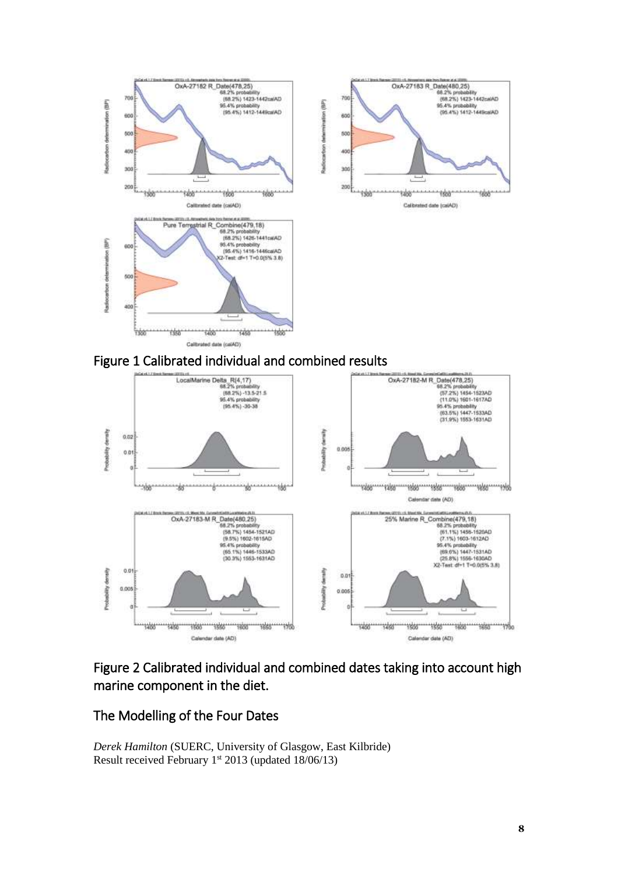





## Figure 2 Calibrated individual and combined dates taking into account high marine component in the diet.

#### The Modelling of the Four Dates

*Derek Hamilton* (SUERC, University of Glasgow, East Kilbride) Result received February  $1^{st}$  2013 (updated  $18/06/13$ )